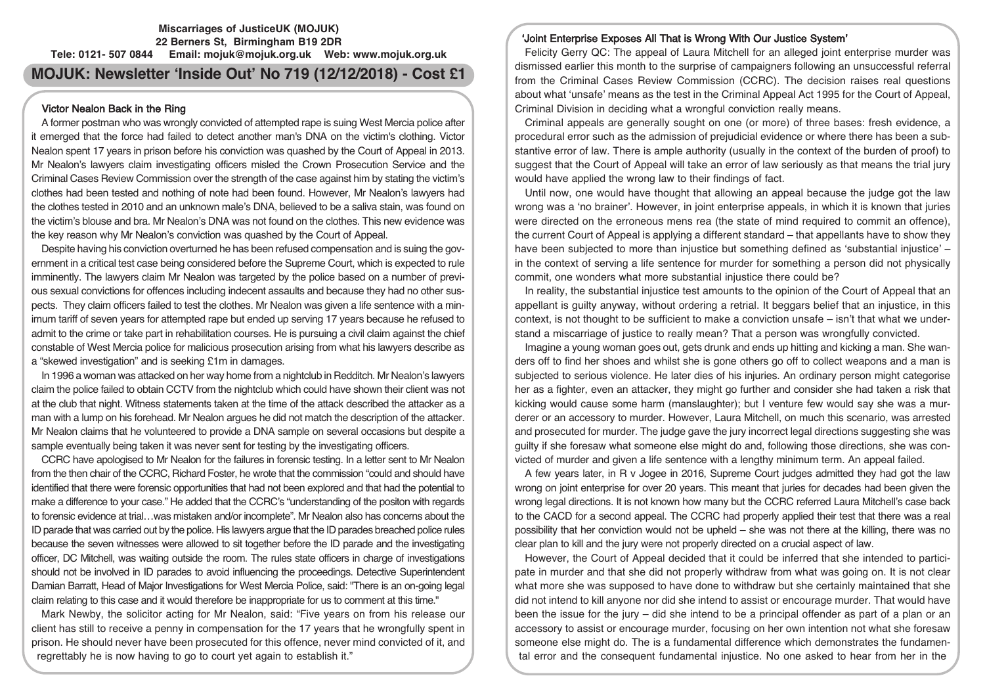# **Miscarriages of JusticeUK (MOJUK) 22 Berners St, Birmingham B19 2DR Tele: 0121- 507 0844 Email: mojuk@mojuk.org.uk Web: www.mojuk.org.uk**

# **MOJUK: Newsletter 'Inside Out' No 719 (12/12/2018) - Cost £1**

## Victor Nealon Back in the Ring

A former postman who was wrongly convicted of attempted rape is suing West Mercia police after it emerged that the force had failed to detect another man's DNA on the victim's clothing. Victor Nealon spent 17 years in prison before his conviction was quashed by the Court of Appeal in 2013. Mr Nealon's lawyers claim investigating officers misled the Crown Prosecution Service and the Criminal Cases Review Commission over the strength of the case against him by stating the victim's clothes had been tested and nothing of note had been found. However, Mr Nealon's lawyers had the clothes tested in 2010 and an unknown male's DNA, believed to be a saliva stain, was found on the victim's blouse and bra. Mr Nealon's DNA was not found on the clothes. This new evidence was the key reason why Mr Nealon's conviction was quashed by the Court of Appeal.

Despite having his conviction overturned he has been refused compensation and is suing the government in a critical test case being considered before the Supreme Court, which is expected to rule imminently. The lawyers claim Mr Nealon was targeted by the police based on a number of previous sexual convictions for offences including indecent assaults and because they had no other suspects. They claim officers failed to test the clothes. Mr Nealon was given a life sentence with a minimum tariff of seven years for attempted rape but ended up serving 17 years because he refused to admit to the crime or take part in rehabilitation courses. He is pursuing a civil claim against the chief constable of West Mercia police for malicious prosecution arising from what his lawyers describe as a "skewed investigation" and is seeking £1m in damages.

In 1996 a woman was attacked on her way home from a nightclub in Redditch. Mr Nealon's lawyers claim the police failed to obtain CCTV from the nightclub which could have shown their client was not at the club that night. Witness statements taken at the time of the attack described the attacker as a man with a lump on his forehead. Mr Nealon argues he did not match the description of the attacker. Mr Nealon claims that he volunteered to provide a DNA sample on several occasions but despite a sample eventually being taken it was never sent for testing by the investigating officers.

CCRC have apologised to Mr Nealon for the failures in forensic testing. In a letter sent to Mr Nealon from the then chair of the CCRC, Richard Foster, he wrote that the commission "could and should have identified that there were forensic opportunities that had not been explored and that had the potential to make a difference to your case." He added that the CCRC's "understanding of the positon with regards to forensic evidence at trial…was mistaken and/or incomplete". Mr Nealon also has concerns about the ID parade that was carried out by the police. His lawyers argue that the ID parades breached police rules because the seven witnesses were allowed to sit together before the ID parade and the investigating officer, DC Mitchell, was waiting outside the room. The rules state officers in charge of investigations should not be involved in ID parades to avoid influencing the proceedings. Detective Superintendent Damian Barratt, Head of Major Investigations for West Mercia Police, said: "There is an on-going legal claim relating to this case and it would therefore be inappropriate for us to comment at this time."

Mark Newby, the solicitor acting for Mr Nealon, said: "Five years on from his release our client has still to receive a penny in compensation for the 17 years that he wrongfully spent in prison. He should never have been prosecuted for this offence, never mind convicted of it, and regrettably he is now having to go to court yet again to establish it."

# 'Joint Enterprise Exposes All That is Wrong With Our Justice System'

Felicity Gerry QC: The appeal of Laura Mitchell for an alleged joint enterprise murder was dismissed earlier this month to the surprise of campaigners following an unsuccessful referral from the Criminal Cases Review Commission (CCRC). The decision raises real questions about what 'unsafe' means as the test in the Criminal Appeal Act 1995 for the Court of Appeal, Criminal Division in deciding what a wrongful conviction really means.

Criminal appeals are generally sought on one (or more) of three bases: fresh evidence, a procedural error such as the admission of prejudicial evidence or where there has been a substantive error of law. There is ample authority (usually in the context of the burden of proof) to suggest that the Court of Appeal will take an error of law seriously as that means the trial jury would have applied the wrong law to their findings of fact.

Until now, one would have thought that allowing an appeal because the judge got the law wrong was a 'no brainer'. However, in joint enterprise appeals, in which it is known that juries were directed on the erroneous mens rea (the state of mind required to commit an offence), the current Court of Appeal is applying a different standard – that appellants have to show they have been subjected to more than injustice but something defined as 'substantial injustice' – in the context of serving a life sentence for murder for something a person did not physically commit, one wonders what more substantial injustice there could be?

In reality, the substantial injustice test amounts to the opinion of the Court of Appeal that an appellant is guilty anyway, without ordering a retrial. It beggars belief that an injustice, in this context, is not thought to be sufficient to make a conviction unsafe – isn't that what we understand a miscarriage of justice to really mean? That a person was wrongfully convicted.

Imagine a young woman goes out, gets drunk and ends up hitting and kicking a man. She wanders off to find her shoes and whilst she is gone others go off to collect weapons and a man is subjected to serious violence. He later dies of his injuries. An ordinary person might categorise her as a fighter, even an attacker, they might go further and consider she had taken a risk that kicking would cause some harm (manslaughter); but I venture few would say she was a murderer or an accessory to murder. However, Laura Mitchell, on much this scenario, was arrested and prosecuted for murder. The judge gave the jury incorrect legal directions suggesting she was guilty if she foresaw what someone else might do and, following those directions, she was convicted of murder and given a life sentence with a lengthy minimum term. An appeal failed.

A few years later, in R v Jogee in 2016, Supreme Court judges admitted they had got the law wrong on joint enterprise for over 20 years. This meant that juries for decades had been given the wrong legal directions. It is not known how many but the CCRC referred Laura Mitchell's case back to the CACD for a second appeal. The CCRC had properly applied their test that there was a real possibility that her conviction would not be upheld – she was not there at the killing, there was no clear plan to kill and the jury were not properly directed on a crucial aspect of law.

However, the Court of Appeal decided that it could be inferred that she intended to participate in murder and that she did not properly withdraw from what was going on. It is not clear what more she was supposed to have done to withdraw but she certainly maintained that she did not intend to kill anyone nor did she intend to assist or encourage murder. That would have been the issue for the jury – did she intend to be a principal offender as part of a plan or an accessory to assist or encourage murder, focusing on her own intention not what she foresaw someone else might do. The is a fundamental difference which demonstrates the fundamental error and the consequent fundamental injustice. No one asked to hear from her in the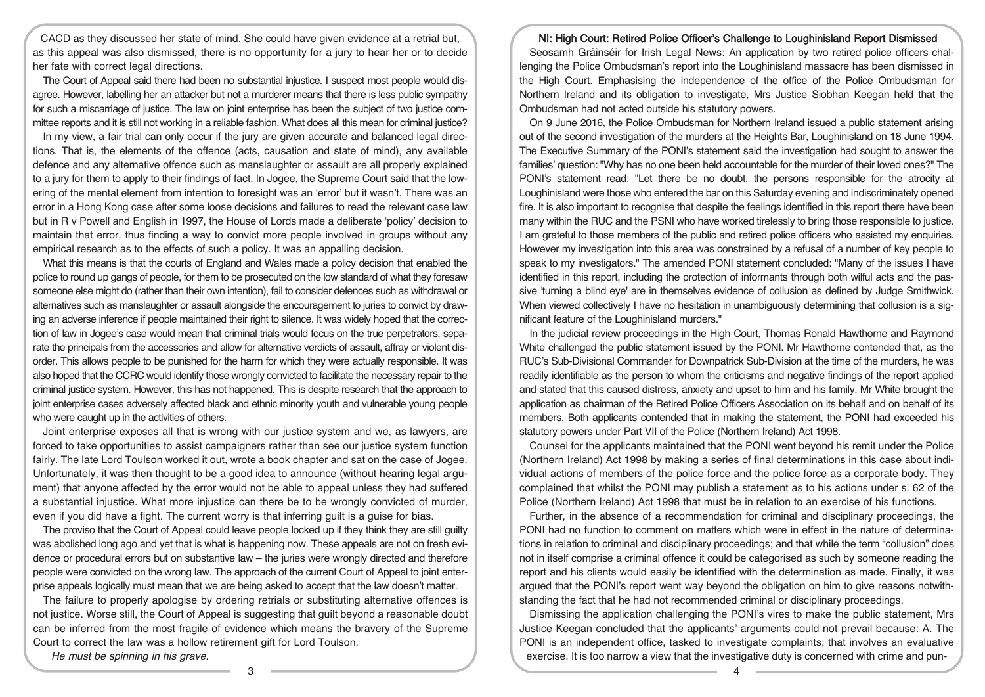CACD as they discussed her state of mind. She could have given evidence at a retrial but, as this appeal was also dismissed, there is no opportunity for a jury to hear her or to decide her fate with correct legal directions.

The Court of Appeal said there had been no substantial injustice. I suspect most people would disagree. However, labelling her an attacker but not a murderer means that there is less public sympathy for such a miscarriage of justice. The law on joint enterprise has been the subject of two justice committee reports and it is still not working in a reliable fashion. What does all this mean for criminal justice?

In my view, a fair trial can only occur if the jury are given accurate and balanced legal directions. That is, the elements of the offence (acts, causation and state of mind), any available defence and any alternative offence such as manslaughter or assault are all properly explained to a jury for them to apply to their findings of fact. In Jogee, the Supreme Court said that the lowering of the mental element from intention to foresight was an 'error' but it wasn't. There was an error in a Hong Kong case after some loose decisions and failures to read the relevant case law but in R v Powell and English in 1997, the House of Lords made a deliberate 'policy' decision to maintain that error, thus finding a way to convict more people involved in groups without any empirical research as to the effects of such a policy. It was an appalling decision.

What this means is that the courts of England and Wales made a policy decision that enabled the police to round up gangs of people, for them to be prosecuted on the low standard of what they foresaw someone else might do (rather than their own intention), fail to consider defences such as withdrawal or alternatives such as manslaughter or assault alongside the encouragement to juries to convict by drawing an adverse inference if people maintained their right to silence. It was widely hoped that the correction of law in Jogee's case would mean that criminal trials would focus on the true perpetrators, separate the principals from the accessories and allow for alternative verdicts of assault, affray or violent disorder. This allows people to be punished for the harm for which they were actually responsible. It was also hoped that the CCRC would identify those wrongly convicted to facilitate the necessary repair to the criminal justice system. However, this has not happened. This is despite research that the approach to joint enterprise cases adversely affected black and ethnic minority youth and vulnerable young people who were caught up in the activities of others.

Joint enterprise exposes all that is wrong with our justice system and we, as lawyers, are forced to take opportunities to assist campaigners rather than see our justice system function fairly. The late Lord Toulson worked it out, wrote a book chapter and sat on the case of Jogee. Unfortunately, it was then thought to be a good idea to announce (without hearing legal argument) that anyone affected by the error would not be able to appeal unless they had suffered a substantial injustice. What more injustice can there be to be wrongly convicted of murder, even if you did have a fight. The current worry is that inferring guilt is a guise for bias.

The proviso that the Court of Appeal could leave people locked up if they think they are still guilty was abolished long ago and yet that is what is happening now. These appeals are not on fresh evidence or procedural errors but on substantive law – the juries were wrongly directed and therefore people were convicted on the wrong law. The approach of the current Court of Appeal to joint enterprise appeals logically must mean that we are being asked to accept that the law doesn't matter.

The failure to properly apologise by ordering retrials or substituting alternative offences is not justice. Worse still, the Court of Appeal is suggesting that guilt beyond a reasonable doubt can be inferred from the most fragile of evidence which means the bravery of the Supreme Court to correct the law was a hollow retirement gift for Lord Toulson.

He must be spinning in his grave.

#### NI: High Court: Retired Police Officer's Challenge to Loughinisland Report Dismissed

Seosamh Gráinséir for Irish Legal News: An application by two retired police officers challenging the Police Ombudsman's report into the Loughinisland massacre has been dismissed in the High Court. Emphasising the independence of the office of the Police Ombudsman for Northern Ireland and its obligation to investigate, Mrs Justice Siobhan Keegan held that the Ombudsman had not acted outside his statutory powers.

On 9 June 2016, the Police Ombudsman for Northern Ireland issued a public statement arising out of the second investigation of the murders at the Heights Bar, Loughinisland on 18 June 1994. The Executive Summary of the PONI's statement said the investigation had sought to answer the families' question: "Why has no one been held accountable for the murder of their loved ones?" The PONI's statement read: "Let there be no doubt, the persons responsible for the atrocity at Loughinisland were those who entered the bar on this Saturday evening and indiscriminately opened fire. It is also important to recognise that despite the feelings identified in this report there have been many within the RUC and the PSNI who have worked tirelessly to bring those responsible to justice. I am grateful to those members of the public and retired police officers who assisted my enquiries. However my investigation into this area was constrained by a refusal of a number of key people to speak to my investigators." The amended PONI statement concluded: "Many of the issues I have identified in this report, including the protection of informants through both wilful acts and the passive 'turning a blind eye' are in themselves evidence of collusion as defined by Judge Smithwick. When viewed collectively I have no hesitation in unambiguously determining that collusion is a significant feature of the Loughinisland murders."

In the judicial review proceedings in the High Court, Thomas Ronald Hawthorne and Raymond White challenged the public statement issued by the PONI. Mr Hawthorne contended that, as the RUC's Sub-Divisional Commander for Downpatrick Sub-Division at the time of the murders, he was readily identifiable as the person to whom the criticisms and negative findings of the report applied and stated that this caused distress, anxiety and upset to him and his family. Mr White brought the application as chairman of the Retired Police Officers Association on its behalf and on behalf of its members. Both applicants contended that in making the statement, the PONI had exceeded his statutory powers under Part VII of the Police (Northern Ireland) Act 1998.

Counsel for the applicants maintained that the PONI went beyond his remit under the Police (Northern Ireland) Act 1998 by making a series of final determinations in this case about individual actions of members of the police force and the police force as a corporate body. They complained that whilst the PONI may publish a statement as to his actions under s. 62 of the Police (Northern Ireland) Act 1998 that must be in relation to an exercise of his functions.

Further, in the absence of a recommendation for criminal and disciplinary proceedings, the PONI had no function to comment on matters which were in effect in the nature of determinations in relation to criminal and disciplinary proceedings; and that while the term "collusion" does not in itself comprise a criminal offence it could be categorised as such by someone reading the report and his clients would easily be identified with the determination as made. Finally, it was argued that the PONI's report went way beyond the obligation on him to give reasons notwithstanding the fact that he had not recommended criminal or disciplinary proceedings.

Dismissing the application challenging the PONI's vires to make the public statement, Mrs Justice Keegan concluded that the applicants' arguments could not prevail because: A. The PONI is an independent office, tasked to investigate complaints; that involves an evaluative exercise. It is too narrow a view that the investigative duty is concerned with crime and pun-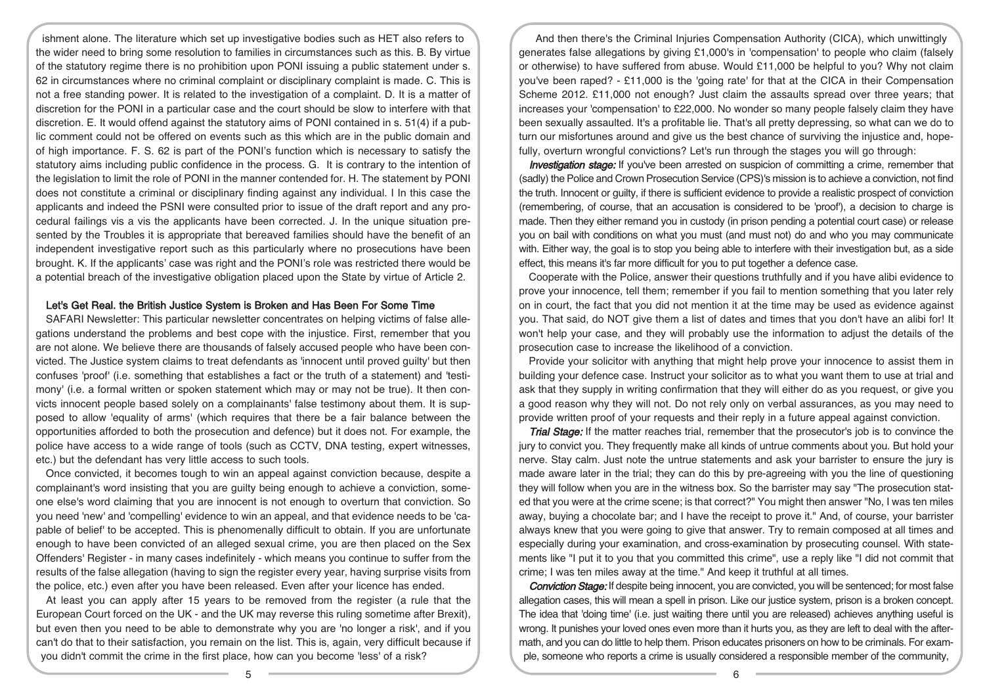ishment alone. The literature which set up investigative bodies such as HET also refers to the wider need to bring some resolution to families in circumstances such as this. B. By virtue of the statutory regime there is no prohibition upon PONI issuing a public statement under s. 62 in circumstances where no criminal complaint or disciplinary complaint is made. C. This is not a free standing power. It is related to the investigation of a complaint. D. It is a matter of discretion for the PONI in a particular case and the court should be slow to interfere with that discretion. E. It would offend against the statutory aims of PONI contained in s. 51(4) if a public comment could not be offered on events such as this which are in the public domain and of high importance. F. S. 62 is part of the PONI's function which is necessary to satisfy the statutory aims including public confidence in the process. G. It is contrary to the intention of the legislation to limit the role of PONI in the manner contended for. H. The statement by PONI does not constitute a criminal or disciplinary finding against any individual. I In this case the applicants and indeed the PSNI were consulted prior to issue of the draft report and any procedural failings vis a vis the applicants have been corrected. J. In the unique situation presented by the Troubles it is appropriate that bereaved families should have the benefit of an independent investigative report such as this particularly where no prosecutions have been brought. K. If the applicants' case was right and the PONI's role was restricted there would be a potential breach of the investigative obligation placed upon the State by virtue of Article 2.

#### Let's Get Real. the British Justice System is Broken and Has Been For Some Time

SAFARI Newsletter: This particular newsletter concentrates on helping victims of false allegations understand the problems and best cope with the injustice. First, remember that you are not alone. We believe there are thousands of falsely accused people who have been convicted. The Justice system claims to treat defendants as 'innocent until proved guilty' but then confuses 'proof' (i.e. something that establishes a fact or the truth of a statement) and 'testimony' (i.e. a formal written or spoken statement which may or may not be true). It then convicts innocent people based solely on a complainants' false testimony about them. It is supposed to allow 'equality of arms' (which requires that there be a fair balance between the opportunities afforded to both the prosecution and defence) but it does not. For example, the police have access to a wide range of tools (such as CCTV, DNA testing, expert witnesses, etc.) but the defendant has very little access to such tools.

Once convicted, it becomes tough to win an appeal against conviction because, despite a complainant's word insisting that you are guilty being enough to achieve a conviction, someone else's word claiming that you are innocent is not enough to overturn that conviction. So you need 'new' and 'compelling' evidence to win an appeal, and that evidence needs to be 'capable of belief' to be accepted. This is phenomenally difficult to obtain. If you are unfortunate enough to have been convicted of an alleged sexual crime, you are then placed on the Sex Offenders' Register - in many cases indefinitely - which means you continue to suffer from the results of the false allegation (having to sign the register every year, having surprise visits from the police, etc.) even after you have been released. Even after your licence has ended.

At least you can apply after 15 years to be removed from the register (a rule that the European Court forced on the UK - and the UK may reverse this ruling sometime after Brexit), but even then you need to be able to demonstrate why you are 'no longer a risk', and if you can't do that to their satisfaction, you remain on the list. This is, again, very difficult because if you didn't commit the crime in the first place, how can you become 'less' of a risk?

And then there's the Criminal Injuries Compensation Authority (CICA), which unwittingly generates false allegations by giving £1,000's in 'compensation' to people who claim (falsely or otherwise) to have suffered from abuse. Would £11,000 be helpful to you? Why not claim you've been raped? - £11,000 is the 'going rate' for that at the CICA in their Compensation Scheme 2012. £11,000 not enough? Just claim the assaults spread over three years; that increases your 'compensation' to £22,000. No wonder so many people falsely claim they have been sexually assaulted. It's a profitable lie. That's all pretty depressing, so what can we do to turn our misfortunes around and give us the best chance of surviving the injustice and, hopefully, overturn wrongful convictions? Let's run through the stages you will go through:

**Investigation stage:** If you've been arrested on suspicion of committing a crime, remember that (sadly) the Police and Crown Prosecution Service (CPS)'s mission is to achieve a conviction, not find the truth. Innocent or guilty, if there is sufficient evidence to provide a realistic prospect of conviction (remembering, of course, that an accusation is considered to be 'proof'), a decision to charge is made. Then they either remand you in custody (in prison pending a potential court case) or release you on bail with conditions on what you must (and must not) do and who you may communicate with. Either way, the goal is to stop you being able to interfere with their investigation but, as a side effect, this means it's far more difficult for you to put together a defence case.

Cooperate with the Police, answer their questions truthfully and if you have alibi evidence to prove your innocence, tell them; remember if you fail to mention something that you later rely on in court, the fact that you did not mention it at the time may be used as evidence against you. That said, do NOT give them a list of dates and times that you don't have an alibi for! It won't help your case, and they will probably use the information to adjust the details of the prosecution case to increase the likelihood of a conviction.

Provide your solicitor with anything that might help prove your innocence to assist them in building your defence case. Instruct your solicitor as to what you want them to use at trial and ask that they supply in writing confirmation that they will either do as you request, or give you a good reason why they will not. Do not rely only on verbal assurances, as you may need to provide written proof of your requests and their reply in a future appeal against conviction.

**Trial Stage:** If the matter reaches trial, remember that the prosecutor's job is to convince the jury to convict you. They frequently make all kinds of untrue comments about you. But hold your nerve. Stay calm. Just note the untrue statements and ask your barrister to ensure the jury is made aware later in the trial; they can do this by pre-agreeing with you the line of questioning they will follow when you are in the witness box. So the barrister may say "The prosecution stated that you were at the crime scene; is that correct?" You might then answer "No, I was ten miles away, buying a chocolate bar; and I have the receipt to prove it." And, of course, your barrister always knew that you were going to give that answer. Try to remain composed at all times and especially during your examination, and cross-examination by prosecuting counsel. With statements like "I put it to you that you committed this crime", use a reply like "I did not commit that crime; I was ten miles away at the time." And keep it truthful at all times.

**Conviction Stage:** If despite being innocent, you are convicted, you will be sentenced; for most false allegation cases, this will mean a spell in prison. Like our justice system, prison is a broken concept. The idea that 'doing time' (i.e. just waiting there until you are released) achieves anything useful is wrong. It punishes your loved ones even more than it hurts you, as they are left to deal with the aftermath, and you can do little to help them. Prison educates prisoners on how to be criminals. For example, someone who reports a crime is usually considered a responsible member of the community,

5 6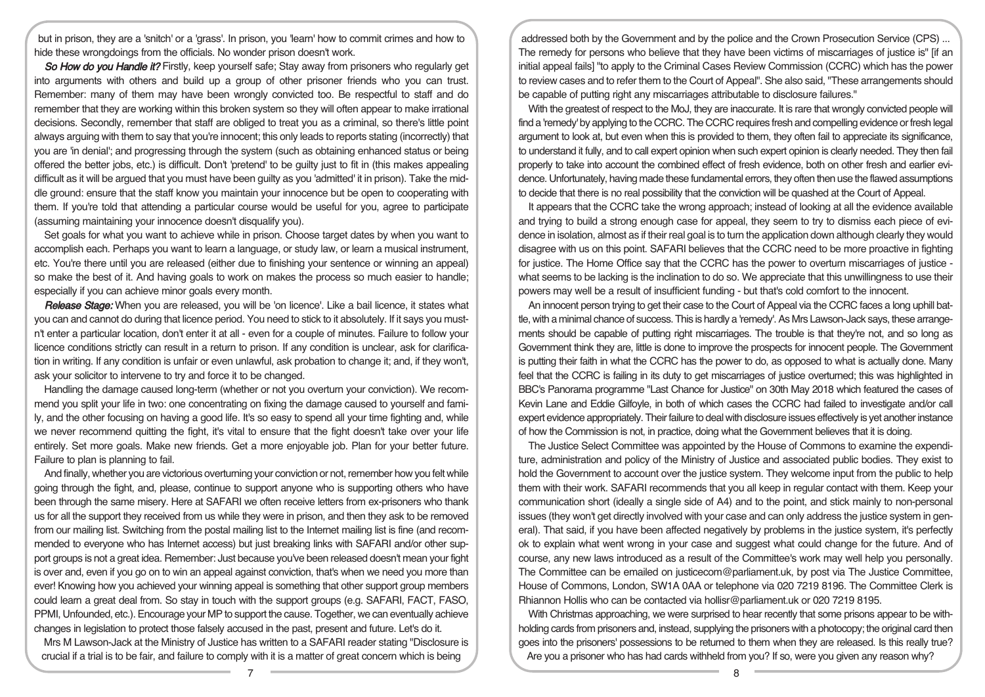but in prison, they are a 'snitch' or a 'grass'. In prison, you 'learn' how to commit crimes and how to hide these wrongdoings from the officials. No wonder prison doesn't work.

So How do you Handle it? Firstly, keep yourself safe; Stay away from prisoners who regularly get into arguments with others and build up a group of other prisoner friends who you can trust. Remember: many of them may have been wrongly convicted too. Be respectful to staff and do remember that they are working within this broken system so they will often appear to make irrational decisions. Secondly, remember that staff are obliged to treat you as a criminal, so there's little point always arguing with them to say that you're innocent; this only leads to reports stating (incorrectly) that you are 'in denial'; and progressing through the system (such as obtaining enhanced status or being offered the better jobs, etc.) is difficult. Don't 'pretend' to be guilty just to fit in (this makes appealing difficult as it will be argued that you must have been guilty as you 'admitted' it in prison). Take the middle ground: ensure that the staff know you maintain your innocence but be open to cooperating with them. If you're told that attending a particular course would be useful for you, agree to participate (assuming maintaining your innocence doesn't disqualify you).

Set goals for what you want to achieve while in prison. Choose target dates by when you want to accomplish each. Perhaps you want to learn a language, or study law, or learn a musical instrument, etc. You're there until you are released (either due to finishing your sentence or winning an appeal) so make the best of it. And having goals to work on makes the process so much easier to handle; especially if you can achieve minor goals every month.

Release Stage: When you are released, you will be 'on licence'. Like a bail licence, it states what you can and cannot do during that licence period. You need to stick to it absolutely. If it says you mustn't enter a particular location, don't enter it at all - even for a couple of minutes. Failure to follow your licence conditions strictly can result in a return to prison. If any condition is unclear, ask for clarification in writing. If any condition is unfair or even unlawful, ask probation to change it; and, if they won't, ask your solicitor to intervene to try and force it to be changed.

Handling the damage caused long-term (whether or not you overturn your conviction). We recommend you split your life in two: one concentrating on fixing the damage caused to yourself and family, and the other focusing on having a good life. It's so easy to spend all your time fighting and, while we never recommend quitting the fight, it's vital to ensure that the fight doesn't take over your life entirely. Set more goals. Make new friends. Get a more enjoyable job. Plan for your better future. Failure to plan is planning to fail.

And finally, whether you are victorious overturning your conviction or not, remember how you felt while going through the fight, and, please, continue to support anyone who is supporting others who have been through the same misery. Here at SAFARI we often receive letters from ex-prisoners who thank us for all the support they received from us while they were in prison, and then they ask to be removed from our mailing list. Switching from the postal mailing list to the Internet mailing list is fine (and recommended to everyone who has Internet access) but just breaking links with SAFARI and/or other support groups is not a great idea. Remember: Just because you've been released doesn't mean your fight is over and, even if you go on to win an appeal against conviction, that's when we need you more than ever! Knowing how you achieved your winning appeal is something that other support group members could learn a great deal from. So stay in touch with the support groups (e.g. SAFARI, FACT, FASO, PPMI, Unfounded, etc.). Encourage your MP to support the cause. Together, we can eventually achieve changes in legislation to protect those falsely accused in the past, present and future. Let's do it.

Mrs M Lawson-Jack at the Ministry of Justice has written to a SAFARI reader stating "Disclosure is crucial if a trial is to be fair, and failure to comply with it is a matter of great concern which is being

addressed both by the Government and by the police and the Crown Prosecution Service (CPS) ... The remedy for persons who believe that they have been victims of miscarriages of justice is" [if an initial appeal fails] "to apply to the Criminal Cases Review Commission (CCRC) which has the power to review cases and to refer them to the Court of Appeal". She also said, "These arrangements should be capable of putting right any miscarriages attributable to disclosure failures."

With the greatest of respect to the MoJ, they are inaccurate. It is rare that wrongly convicted people will find a 'remedy' by applying to the CCRC. The CCRC requires fresh and compelling evidence or fresh legal argument to look at, but even when this is provided to them, they often fail to appreciate its significance, to understand it fully, and to call expert opinion when such expert opinion is clearly needed. They then fail properly to take into account the combined effect of fresh evidence, both on other fresh and earlier evidence. Unfortunately, having made these fundamental errors, they often then use the flawed assumptions to decide that there is no real possibility that the conviction will be quashed at the Court of Appeal.

It appears that the CCRC take the wrong approach; instead of looking at all the evidence available and trying to build a strong enough case for appeal, they seem to try to dismiss each piece of evidence in isolation, almost as if their real goal is to turn the application down although clearly they would disagree with us on this point. SAFARI believes that the CCRC need to be more proactive in fighting for justice. The Home Office say that the CCRC has the power to overturn miscarriages of justice what seems to be lacking is the inclination to do so. We appreciate that this unwillingness to use their powers may well be a result of insufficient funding - but that's cold comfort to the innocent.

An innocent person trying to get their case to the Court of Appeal via the CCRC faces a long uphill battle, with a minimal chance of success. This is hardly a 'remedy'. As Mrs Lawson-Jack says, these arrangements should be capable of putting right miscarriages. The trouble is that they're not, and so long as Government think they are, little is done to improve the prospects for innocent people. The Government is putting their faith in what the CCRC has the power to do, as opposed to what is actually done. Many feel that the CCRC is failing in its duty to get miscarriages of justice overturned; this was highlighted in BBC's Panorama programme "Last Chance for Justice" on 30th May 2018 which featured the cases of Kevin Lane and Eddie Gilfoyle, in both of which cases the CCRC had failed to investigate and/or call expert evidence appropriately. Their failure to deal with disclosure issues effectively is yet another instance of how the Commission is not, in practice, doing what the Government believes that it is doing.

The Justice Select Committee was appointed by the House of Commons to examine the expenditure, administration and policy of the Ministry of Justice and associated public bodies. They exist to hold the Government to account over the justice system. They welcome input from the public to help them with their work. SAFARI recommends that you all keep in regular contact with them. Keep your communication short (ideally a single side of A4) and to the point, and stick mainly to non-personal issues (they won't get directly involved with your case and can only address the justice system in general). That said, if you have been affected negatively by problems in the justice system, it's perfectly ok to explain what went wrong in your case and suggest what could change for the future. And of course, any new laws introduced as a result of the Committee's work may well help you personally. The Committee can be emailed on justicecom@parliament.uk, by post via The Justice Committee, House of Commons, London, SW1A 0AA or telephone via 020 7219 8196. The Committee Clerk is Rhiannon Hollis who can be contacted via hollisr@parliament.uk or 020 7219 8195.

With Christmas approaching, we were surprised to hear recently that some prisons appear to be withholding cards from prisoners and, instead, supplying the prisoners with a photocopy; the original card then goes into the prisoners' possessions to be returned to them when they are released. Is this really true? Are you a prisoner who has had cards withheld from you? If so, were you given any reason why?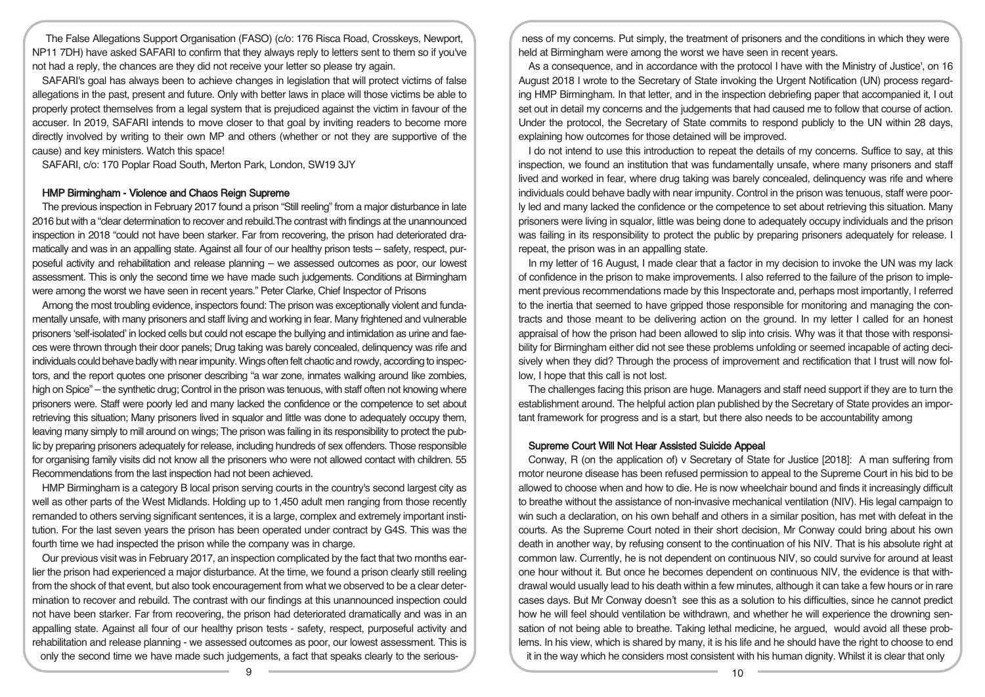The False Allegations Support Organisation (FASO) (c/o: 176 Risca Road, Crosskeys, Newport, NP11 7DH) have asked SAFARI to confirm that they always reply to letters sent to them so if you've not had a reply, the chances are they did not receive your letter so please try again.

SAFARI's goal has always been to achieve changes in legislation that will protect victims of false allegations in the past, present and future. Only with better laws in place will those victims be able to properly protect themselves from a legal system that is prejudiced against the victim in favour of the accuser. In 2019, SAFARI intends to move closer to that goal by inviting readers to become more directly involved by writing to their own MP and others (whether or not they are supportive of the cause) and key ministers. Watch this space!

SAFARI, c/o: 170 Poplar Road South, Merton Park, London, SW19 3JY

#### HMP Birmingham - Violence and Chaos Reign Supreme

The previous inspection in February 2017 found a prison "Still reeling" from a major disturbance in late 2016 but with a "clear determination to recover and rebuild.The contrast with findings at the unannounced inspection in 2018 "could not have been starker. Far from recovering, the prison had deteriorated dramatically and was in an appalling state. Against all four of our healthy prison tests – safety, respect, purposeful activity and rehabilitation and release planning – we assessed outcomes as poor, our lowest assessment. This is only the second time we have made such judgements. Conditions at Birmingham were among the worst we have seen in recent years." Peter Clarke, Chief Inspector of Prisons

Among the most troubling evidence, inspectors found: The prison was exceptionally violent and fundamentally unsafe, with many prisoners and staff living and working in fear. Many frightened and vulnerable prisoners 'self-isolated' in locked cells but could not escape the bullying and intimidation as urine and faeces were thrown through their door panels; Drug taking was barely concealed, delinquency was rife and individuals could behave badly with near impunity. Wings often felt chaotic and rowdy, according to inspectors, and the report quotes one prisoner describing "a war zone, inmates walking around like zombies, high on Spice" – the synthetic drug; Control in the prison was tenuous, with staff often not knowing where prisoners were. Staff were poorly led and many lacked the confidence or the competence to set about retrieving this situation; Many prisoners lived in squalor and little was done to adequately occupy them, leaving many simply to mill around on wings; The prison was failing in its responsibility to protect the public by preparing prisoners adequately for release, including hundreds of sex offenders. Those responsible for organising family visits did not know all the prisoners who were not allowed contact with children. 55 Recommendations from the last inspection had not been achieved.

HMP Birmingham is a category B local prison serving courts in the country's second largest city as well as other parts of the West Midlands. Holding up to 1,450 adult men ranging from those recently remanded to others serving significant sentences, it is a large, complex and extremely important institution. For the last seven years the prison has been operated under contract by G4S. This was the fourth time we had inspected the prison while the company was in charge.

Our previous visit was in February 2017, an inspection complicated by the fact that two months earlier the prison had experienced a major disturbance. At the time, we found a prison clearly still reeling from the shock of that event, but also took encouragement from what we observed to be a clear determination to recover and rebuild. The contrast with our findings at this unannounced inspection could not have been starker. Far from recovering, the prison had deteriorated dramatically and was in an appalling state. Against all four of our healthy prison tests - safety, respect, purposeful activity and rehabilitation and release planning - we assessed outcomes as poor, our lowest assessment. This is only the second time we have made such judgements, a fact that speaks clearly to the serious-

ness of my concerns. Put simply, the treatment of prisoners and the conditions in which they were held at Birmingham were among the worst we have seen in recent years.

As a consequence, and in accordance with the protocol I have with the Ministry of Justice', on 16 August 2018 I wrote to the Secretary of State invoking the Urgent Notification (UN) process regarding HMP Birmingham. In that letter, and in the inspection debriefing paper that accompanied it, I out set out in detail my concerns and the judgements that had caused me to follow that course of action. Under the protocol, the Secretary of State commits to respond publicly to the UN within 28 days, explaining how outcomes for those detained will be improved.

I do not intend to use this introduction to repeat the details of my concerns. Suffice to say, at this inspection, we found an institution that was fundamentally unsafe, where many prisoners and staff lived and worked in fear, where drug taking was barely concealed, delinquency was rife and where individuals could behave badly with near impunity. Control in the prison was tenuous, staff were poorly led and many lacked the confidence or the competence to set about retrieving this situation. Many prisoners were living in squalor, little was being done to adequately occupy individuals and the prison was failing in its responsibility to protect the public by preparing prisoners adequately for release. I repeat, the prison was in an appalling state.

In my letter of 16 August, I made clear that a factor in my decision to invoke the UN was my lack of confidence in the prison to make improvements. I also referred to the failure of the prison to implement previous recommendations made by this Inspectorate and, perhaps most importantly, I referred to the inertia that seemed to have gripped those responsible for monitoring and managing the contracts and those meant to be delivering action on the ground. In my letter I called for an honest appraisal of how the prison had been allowed to slip into crisis. Why was it that those with responsibility for Birmingham either did not see these problems unfolding or seemed incapable of acting decisively when they did? Through the process of improvement and rectification that I trust will now follow, I hope that this call is not lost.

The challenges facing this prison are huge. Managers and staff need support if they are to turn the establishment around. The helpful action plan published by the Secretary of State provides an important framework for progress and is a start, but there also needs to be accountability among

#### Supreme Court Will Not Hear Assisted Suicide Appeal

Conway, R (on the application of) v Secretary of State for Justice [2018]: A man suffering from motor neurone disease has been refused permission to appeal to the Supreme Court in his bid to be allowed to choose when and how to die. He is now wheelchair bound and finds it increasingly difficult to breathe without the assistance of non-invasive mechanical ventilation (NIV). His legal campaign to win such a declaration, on his own behalf and others in a similar position, has met with defeat in the courts. As the Supreme Court noted in their short decision, Mr Conway could bring about his own death in another way, by refusing consent to the continuation of his NIV. That is his absolute right at common law. Currently, he is not dependent on continuous NIV, so could survive for around at least one hour without it. But once he becomes dependent on continuous NIV, the evidence is that withdrawal would usually lead to his death within a few minutes, although it can take a few hours or in rare cases days. But Mr Conway doesn't see this as a solution to his difficulties, since he cannot predict how he will feel should ventilation be withdrawn, and whether he will experience the drowning sensation of not being able to breathe. Taking lethal medicine, he argued, would avoid all these problems. In his view, which is shared by many, it is his life and he should have the right to choose to end it in the way which he considers most consistent with his human dignity. Whilst it is clear that only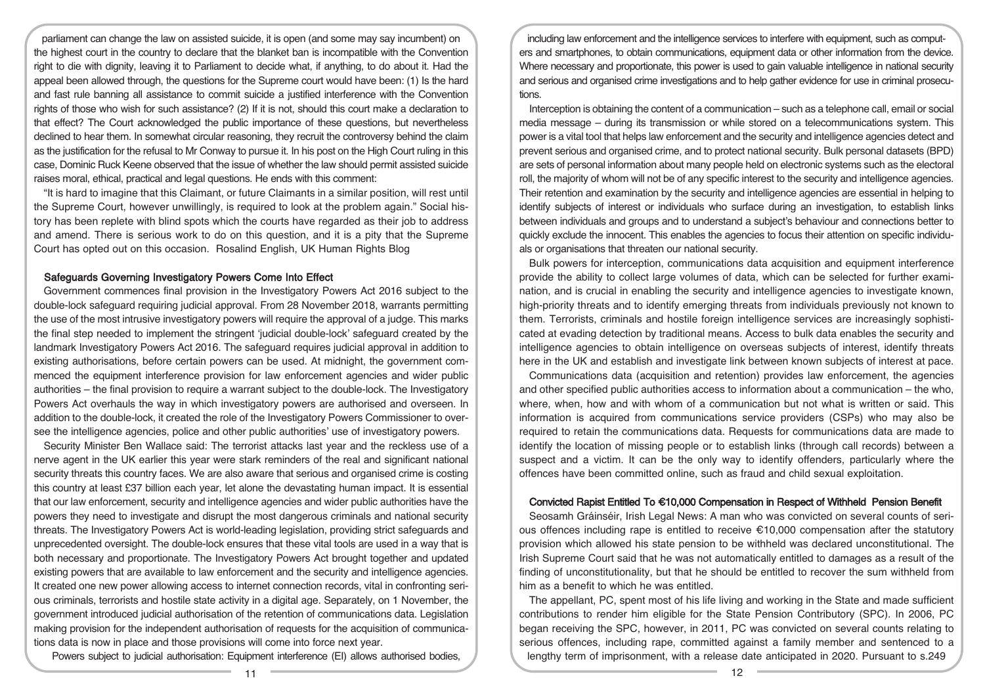parliament can change the law on assisted suicide, it is open (and some may say incumbent) on the highest court in the country to declare that the blanket ban is incompatible with the Convention right to die with dignity, leaving it to Parliament to decide what, if anything, to do about it. Had the appeal been allowed through, the questions for the Supreme court would have been: (1) Is the hard and fast rule banning all assistance to commit suicide a justified interference with the Convention rights of those who wish for such assistance? (2) If it is not, should this court make a declaration to that effect? The Court acknowledged the public importance of these questions, but nevertheless declined to hear them. In somewhat circular reasoning, they recruit the controversy behind the claim as the justification for the refusal to Mr Conway to pursue it. In his post on the High Court ruling in this case, Dominic Ruck Keene observed that the issue of whether the law should permit assisted suicide raises moral, ethical, practical and legal questions. He ends with this comment:

"It is hard to imagine that this Claimant, or future Claimants in a similar position, will rest until the Supreme Court, however unwillingly, is required to look at the problem again." Social history has been replete with blind spots which the courts have regarded as their job to address and amend. There is serious work to do on this question, and it is a pity that the Supreme Court has opted out on this occasion. Rosalind English, UK Human Rights Blog

#### Safeguards Governing Investigatory Powers Come Into Effect

Government commences final provision in the Investigatory Powers Act 2016 subject to the double-lock safeguard requiring judicial approval. From 28 November 2018, warrants permitting the use of the most intrusive investigatory powers will require the approval of a judge. This marks the final step needed to implement the stringent 'judicial double-lock' safeguard created by the landmark Investigatory Powers Act 2016. The safeguard requires judicial approval in addition to existing authorisations, before certain powers can be used. At midnight, the government commenced the equipment interference provision for law enforcement agencies and wider public authorities – the final provision to require a warrant subject to the double-lock. The Investigatory Powers Act overhauls the way in which investigatory powers are authorised and overseen. In addition to the double-lock, it created the role of the Investigatory Powers Commissioner to oversee the intelligence agencies, police and other public authorities' use of investigatory powers.

Security Minister Ben Wallace said: The terrorist attacks last year and the reckless use of a nerve agent in the UK earlier this year were stark reminders of the real and significant national security threats this country faces. We are also aware that serious and organised crime is costing this country at least £37 billion each year, let alone the devastating human impact. It is essential that our law enforcement, security and intelligence agencies and wider public authorities have the powers they need to investigate and disrupt the most dangerous criminals and national security threats. The Investigatory Powers Act is world-leading legislation, providing strict safeguards and unprecedented oversight. The double-lock ensures that these vital tools are used in a way that is both necessary and proportionate. The Investigatory Powers Act brought together and updated existing powers that are available to law enforcement and the security and intelligence agencies. It created one new power allowing access to internet connection records, vital in confronting serious criminals, terrorists and hostile state activity in a digital age. Separately, on 1 November, the government introduced judicial authorisation of the retention of communications data. Legislation making provision for the independent authorisation of requests for the acquisition of communications data is now in place and those provisions will come into force next year.

Powers subject to judicial authorisation: Equipment interference (EI) allows authorised bodies,

including law enforcement and the intelligence services to interfere with equipment, such as computers and smartphones, to obtain communications, equipment data or other information from the device. Where necessary and proportionate, this power is used to gain valuable intelligence in national security and serious and organised crime investigations and to help gather evidence for use in criminal prosecutions.

Interception is obtaining the content of a communication – such as a telephone call, email or social media message – during its transmission or while stored on a telecommunications system. This power is a vital tool that helps law enforcement and the security and intelligence agencies detect and prevent serious and organised crime, and to protect national security. Bulk personal datasets (BPD) are sets of personal information about many people held on electronic systems such as the electoral roll, the majority of whom will not be of any specific interest to the security and intelligence agencies. Their retention and examination by the security and intelligence agencies are essential in helping to identify subjects of interest or individuals who surface during an investigation, to establish links between individuals and groups and to understand a subject's behaviour and connections better to quickly exclude the innocent. This enables the agencies to focus their attention on specific individuals or organisations that threaten our national security.

Bulk powers for interception, communications data acquisition and equipment interference provide the ability to collect large volumes of data, which can be selected for further examination, and is crucial in enabling the security and intelligence agencies to investigate known, high-priority threats and to identify emerging threats from individuals previously not known to them. Terrorists, criminals and hostile foreign intelligence services are increasingly sophisticated at evading detection by traditional means. Access to bulk data enables the security and intelligence agencies to obtain intelligence on overseas subjects of interest, identify threats here in the UK and establish and investigate link between known subjects of interest at pace.

Communications data (acquisition and retention) provides law enforcement, the agencies and other specified public authorities access to information about a communication – the who, where, when, how and with whom of a communication but not what is written or said. This information is acquired from communications service providers (CSPs) who may also be required to retain the communications data. Requests for communications data are made to identify the location of missing people or to establish links (through call records) between a suspect and a victim. It can be the only way to identify offenders, particularly where the offences have been committed online, such as fraud and child sexual exploitation.

#### Convicted Rapist Entitled To €10,000 Compensation in Respect of Withheld Pension Benefit

Seosamh Gráinséir, Irish Legal News: A man who was convicted on several counts of serious offences including rape is entitled to receive €10,000 compensation after the statutory provision which allowed his state pension to be withheld was declared unconstitutional. The Irish Supreme Court said that he was not automatically entitled to damages as a result of the finding of unconstitutionality, but that he should be entitled to recover the sum withheld from him as a benefit to which he was entitled.

The appellant, PC, spent most of his life living and working in the State and made sufficient contributions to render him eligible for the State Pension Contributory (SPC). In 2006, PC began receiving the SPC, however, in 2011, PC was convicted on several counts relating to serious offences, including rape, committed against a family member and sentenced to a lengthy term of imprisonment, with a release date anticipated in 2020. Pursuant to s.249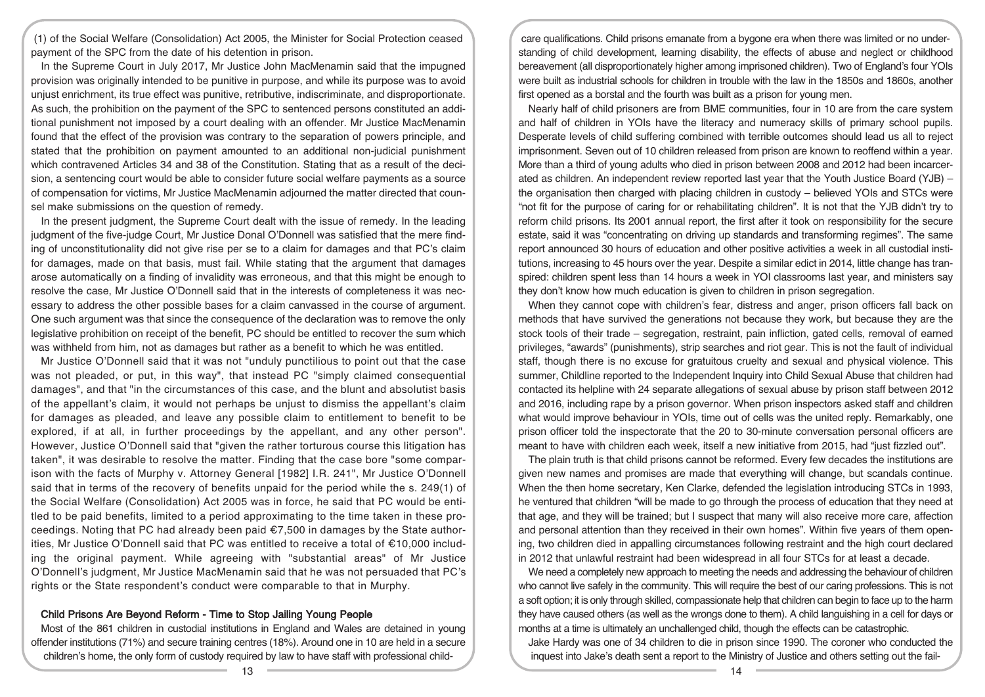(1) of the Social Welfare (Consolidation) Act 2005, the Minister for Social Protection ceased payment of the SPC from the date of his detention in prison.

In the Supreme Court in July 2017, Mr Justice John MacMenamin said that the impugned provision was originally intended to be punitive in purpose, and while its purpose was to avoid unjust enrichment, its true effect was punitive, retributive, indiscriminate, and disproportionate. As such, the prohibition on the payment of the SPC to sentenced persons constituted an additional punishment not imposed by a court dealing with an offender. Mr Justice MacMenamin found that the effect of the provision was contrary to the separation of powers principle, and stated that the prohibition on payment amounted to an additional non-judicial punishment which contravened Articles 34 and 38 of the Constitution. Stating that as a result of the decision, a sentencing court would be able to consider future social welfare payments as a source of compensation for victims, Mr Justice MacMenamin adjourned the matter directed that counsel make submissions on the question of remedy.

In the present judgment, the Supreme Court dealt with the issue of remedy. In the leading judgment of the five-judge Court, Mr Justice Donal O'Donnell was satisfied that the mere finding of unconstitutionality did not give rise per se to a claim for damages and that PC's claim for damages, made on that basis, must fail. While stating that the argument that damages arose automatically on a finding of invalidity was erroneous, and that this might be enough to resolve the case, Mr Justice O'Donnell said that in the interests of completeness it was necessary to address the other possible bases for a claim canvassed in the course of argument. One such argument was that since the consequence of the declaration was to remove the only legislative prohibition on receipt of the benefit, PC should be entitled to recover the sum which was withheld from him, not as damages but rather as a benefit to which he was entitled.

Mr Justice O'Donnell said that it was not "unduly punctilious to point out that the case was not pleaded, or put, in this way", that instead PC "simply claimed consequential damages", and that "in the circumstances of this case, and the blunt and absolutist basis of the appellant's claim, it would not perhaps be unjust to dismiss the appellant's claim for damages as pleaded, and leave any possible claim to entitlement to benefit to be explored, if at all, in further proceedings by the appellant, and any other person". However, Justice O'Donnell said that "given the rather torturous course this litigation has taken", it was desirable to resolve the matter. Finding that the case bore "some comparison with the facts of Murphy v. Attorney General [1982] I.R. 241", Mr Justice O'Donnell said that in terms of the recovery of benefits unpaid for the period while the s. 249(1) of the Social Welfare (Consolidation) Act 2005 was in force, he said that PC would be entitled to be paid benefits, limited to a period approximating to the time taken in these proceedings. Noting that PC had already been paid €7,500 in damages by the State authorities, Mr Justice O'Donnell said that PC was entitled to receive a total of €10,000 including the original payment. While agreeing with "substantial areas" of Mr Justice O'Donnell's judgment, Mr Justice MacMenamin said that he was not persuaded that PC's rights or the State respondent's conduct were comparable to that in Murphy.

#### Child Prisons Are Beyond Reform - Time to Stop Jailing Young People

Most of the 861 children in custodial institutions in England and Wales are detained in young offender institutions (71%) and secure training centres (18%). Around one in 10 are held in a secure children's home, the only form of custody required by law to have staff with professional child-

care qualifications. Child prisons emanate from a bygone era when there was limited or no understanding of child development, learning disability, the effects of abuse and neglect or childhood bereavement (all disproportionately higher among imprisoned children). Two of England's four YOIs were built as industrial schools for children in trouble with the law in the 1850s and 1860s, another first opened as a borstal and the fourth was built as a prison for young men.

Nearly half of child prisoners are from BME communities, four in 10 are from the care system and half of children in YOIs have the literacy and numeracy skills of primary school pupils. Desperate levels of child suffering combined with terrible outcomes should lead us all to reject imprisonment. Seven out of 10 children released from prison are known to reoffend within a year. More than a third of young adults who died in prison between 2008 and 2012 had been incarcerated as children. An independent review reported last year that the Youth Justice Board (YJB) – the organisation then charged with placing children in custody – believed YOIs and STCs were "not fit for the purpose of caring for or rehabilitating children". It is not that the YJB didn't try to reform child prisons. Its 2001 annual report, the first after it took on responsibility for the secure estate, said it was "concentrating on driving up standards and transforming regimes". The same report announced 30 hours of education and other positive activities a week in all custodial institutions, increasing to 45 hours over the year. Despite a similar edict in 2014, little change has transpired: children spent less than 14 hours a week in YOI classrooms last year, and ministers say they don't know how much education is given to children in prison segregation.

When they cannot cope with children's fear, distress and anger, prison officers fall back on methods that have survived the generations not because they work, but because they are the stock tools of their trade – segregation, restraint, pain infliction, gated cells, removal of earned privileges, "awards" (punishments), strip searches and riot gear. This is not the fault of individual staff, though there is no excuse for gratuitous cruelty and sexual and physical violence. This summer, Childline reported to the Independent Inquiry into Child Sexual Abuse that children had contacted its helpline with 24 separate allegations of sexual abuse by prison staff between 2012 and 2016, including rape by a prison governor. When prison inspectors asked staff and children what would improve behaviour in YOIs, time out of cells was the united reply. Remarkably, one prison officer told the inspectorate that the 20 to 30-minute conversation personal officers are meant to have with children each week, itself a new initiative from 2015, had "just fizzled out".

The plain truth is that child prisons cannot be reformed. Every few decades the institutions are given new names and promises are made that everything will change, but scandals continue. When the then home secretary, Ken Clarke, defended the legislation introducing STCs in 1993, he ventured that children "will be made to go through the process of education that they need at that age, and they will be trained; but I suspect that many will also receive more care, affection and personal attention than they received in their own homes". Within five years of them opening, two children died in appalling circumstances following restraint and the high court declared in 2012 that unlawful restraint had been widespread in all four STCs for at least a decade.

We need a completely new approach to meeting the needs and addressing the behaviour of children who cannot live safely in the community. This will require the best of our caring professions. This is not a soft option; it is only through skilled, compassionate help that children can begin to face up to the harm they have caused others (as well as the wrongs done to them). A child languishing in a cell for days or months at a time is ultimately an unchallenged child, though the effects can be catastrophic.

Jake Hardy was one of 34 children to die in prison since 1990. The coroner who conducted the inquest into Jake's death sent a report to the Ministry of Justice and others setting out the fail-